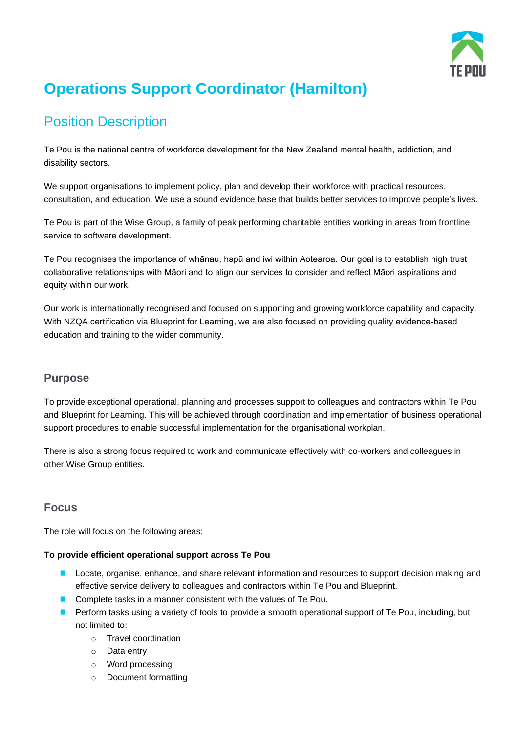

# **Operations Support Coordinator (Hamilton)**

## Position Description

Te Pou is the national centre of workforce development for the New Zealand mental health, addiction, and disability sectors.

We support organisations to implement policy, plan and develop their workforce with practical resources, consultation, and education. We use a sound evidence base that builds better services to improve people's lives.

Te Pou is part of the Wise Group, a family of peak performing charitable entities working in areas from frontline service to software development.

Te Pou recognises the importance of whānau, hapū and iwi within Aotearoa. Our goal is to establish high trust collaborative relationships with Māori and to align our services to consider and reflect Māori aspirations and equity within our work.

Our work is internationally recognised and focused on supporting and growing workforce capability and capacity. With NZQA certification via Blueprint for Learning, we are also focused on providing quality evidence-based education and training to the wider community.

## **Purpose**

To provide exceptional operational, planning and processes support to colleagues and contractors within Te Pou and Blueprint for Learning. This will be achieved through coordination and implementation of business operational support procedures to enable successful implementation for the organisational workplan.

There is also a strong focus required to work and communicate effectively with co-workers and colleagues in other Wise Group entities.

## **Focus**

The role will focus on the following areas:

#### **To provide efficient operational support across Te Pou**

- Locate, organise, enhance, and share relevant information and resources to support decision making and effective service delivery to colleagues and contractors within Te Pou and Blueprint.
- Complete tasks in a manner consistent with the values of Te Pou.
- Perform tasks using a variety of tools to provide a smooth operational support of Te Pou, including, but not limited to:
	- o Travel coordination
	- o Data entry
	- o Word processing
	- o Document formatting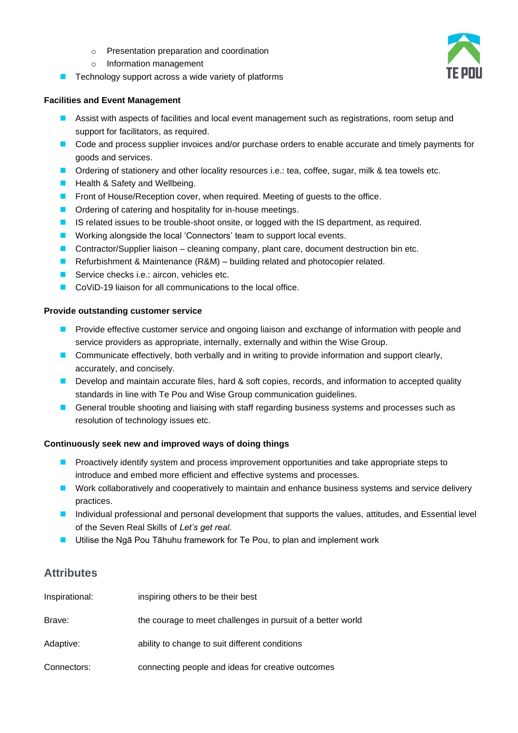- o Presentation preparation and coordination
- o Information management
- Technology support across a wide variety of platforms

#### **Facilities and Event Management**

- Assist with aspects of facilities and local event management such as registrations, room setup and support for facilitators, as required.
- Code and process supplier invoices and/or purchase orders to enable accurate and timely payments for goods and services.
- Ordering of stationery and other locality resources i.e.: tea, coffee, sugar, milk & tea towels etc.
- Health & Safety and Wellbeing.
- Front of House/Reception cover, when required. Meeting of guests to the office.
- Ordering of catering and hospitality for in-house meetings.
- IS related issues to be trouble-shoot onsite, or logged with the IS department, as required.
- Working alongside the local 'Connectors' team to support local events.
- Contractor/Supplier liaison cleaning company, plant care, document destruction bin etc.
- Refurbishment & Maintenance (R&M) building related and photocopier related.
- Service checks i.e.: aircon, vehicles etc.
- CoViD-19 liaison for all communications to the local office.

#### **Provide outstanding customer service**

- Provide effective customer service and ongoing liaison and exchange of information with people and service providers as appropriate, internally, externally and within the Wise Group.
- Communicate effectively, both verbally and in writing to provide information and support clearly, accurately, and concisely.
- Develop and maintain accurate files, hard & soft copies, records, and information to accepted quality standards in line with Te Pou and Wise Group communication guidelines.
- General trouble shooting and liaising with staff regarding business systems and processes such as resolution of technology issues etc.

#### **Continuously seek new and improved ways of doing things**

- Proactively identify system and process improvement opportunities and take appropriate steps to introduce and embed more efficient and effective systems and processes.
- Work collaboratively and cooperatively to maintain and enhance business systems and service delivery practices.
- Individual professional and personal development that supports the values, attitudes, and Essential level of the Seven Real Skills of *Let's get real.*
- Utilise the Ngā Pou Tāhuhu framework for Te Pou, to plan and implement work

## **Attributes**

| Inspirational: | inspiring others to be their best                           |
|----------------|-------------------------------------------------------------|
| Brave:         | the courage to meet challenges in pursuit of a better world |
| Adaptive:      | ability to change to suit different conditions              |
| Connectors:    | connecting people and ideas for creative outcomes           |